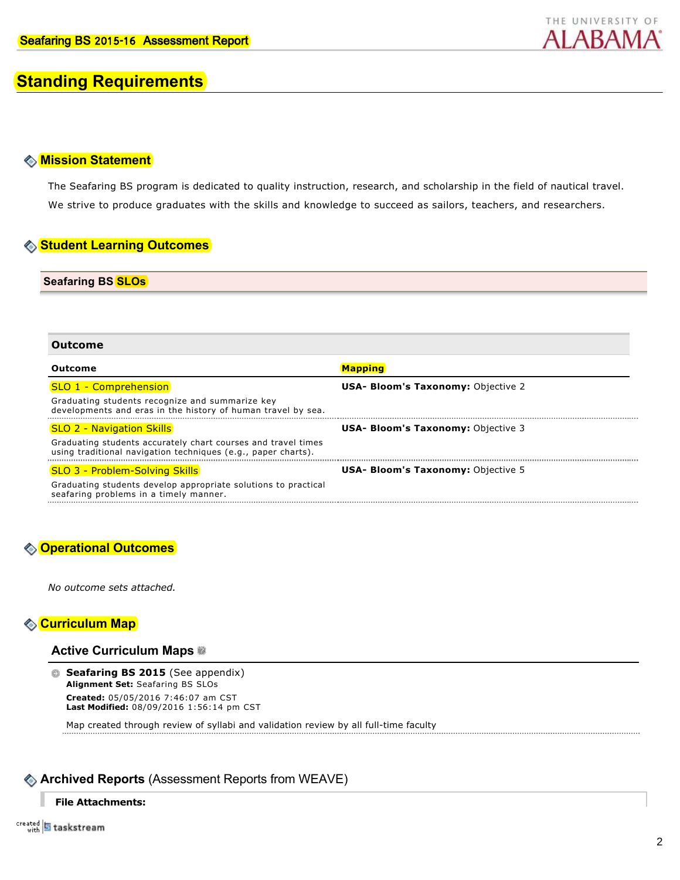

# **Standing Requirements**

# **Mission Statement**

The Seafaring BS program is dedicated to quality instruction, research, and scholarship in the field of nautical travel. We strive to produce graduates with the skills and knowledge to succeed as sailors, teachers, and researchers.

# **Student Learning Outcomes**

**Seafaring BS SLOs**

| Outcome                                                                                                                        |                                           |  |  |  |
|--------------------------------------------------------------------------------------------------------------------------------|-------------------------------------------|--|--|--|
| Outcome                                                                                                                        | <b>Mapping</b>                            |  |  |  |
| SLO 1 - Comprehension                                                                                                          | <b>USA- Bloom's Taxonomy: Objective 2</b> |  |  |  |
| Graduating students recognize and summarize key<br>developments and eras in the history of human travel by sea.                |                                           |  |  |  |
| <b>SLO 2 - Navigation Skills</b>                                                                                               | <b>USA- Bloom's Taxonomy: Objective 3</b> |  |  |  |
| Graduating students accurately chart courses and travel times<br>using traditional navigation techniques (e.g., paper charts). |                                           |  |  |  |
| SLO 3 - Problem-Solving Skills                                                                                                 | <b>USA- Bloom's Taxonomy: Objective 5</b> |  |  |  |
| Graduating students develop appropriate solutions to practical<br>seafaring problems in a timely manner.                       |                                           |  |  |  |

# **Operational Outcomes**

*No outcome sets attached.*

# **Curriculum Map**

# **Active Curriculum Maps**

**Seafaring BS 2015** (See appendix) **Alignment Set:** Seafaring BS SLOs **Created:** 05/05/2016 7:46:07 am CST **Last Modified:** 08/09/2016 1:56:14 pm CST

Map created through review of syllabi and validation review by all full-time faculty

# **Archived Reports** (Assessment Reports from WEAVE)

# **File Attachments:**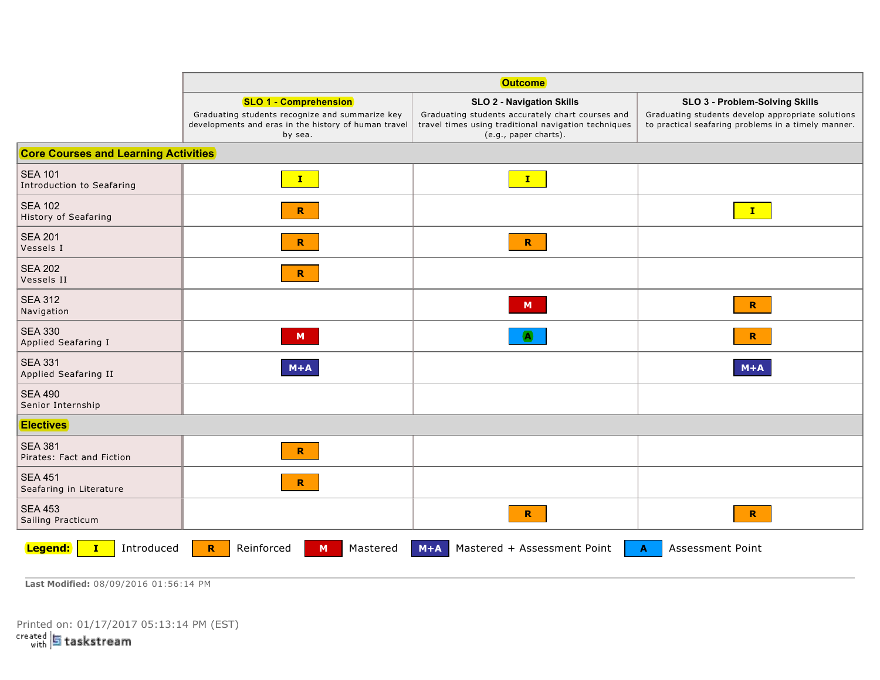|                                             | <b>Outcome</b>                                                                                                                                     |                                                                                                                                                                       |                                                                                                                                            |  |
|---------------------------------------------|----------------------------------------------------------------------------------------------------------------------------------------------------|-----------------------------------------------------------------------------------------------------------------------------------------------------------------------|--------------------------------------------------------------------------------------------------------------------------------------------|--|
|                                             | <b>SLO 1 - Comprehension</b><br>Graduating students recognize and summarize key<br>developments and eras in the history of human travel<br>by sea. | <b>SLO 2 - Navigation Skills</b><br>Graduating students accurately chart courses and<br>travel times using traditional navigation techniques<br>(e.g., paper charts). | SLO 3 - Problem-Solving Skills<br>Graduating students develop appropriate solutions<br>to practical seafaring problems in a timely manner. |  |
| <b>Core Courses and Learning Activities</b> |                                                                                                                                                    |                                                                                                                                                                       |                                                                                                                                            |  |
| <b>SEA 101</b><br>Introduction to Seafaring | $\mathbf{I}$                                                                                                                                       | $\mathbf{I}$                                                                                                                                                          |                                                                                                                                            |  |
| <b>SEA 102</b><br>History of Seafaring      | R                                                                                                                                                  |                                                                                                                                                                       | $\mathbf{I}$                                                                                                                               |  |
| <b>SEA 201</b><br>Vessels I                 | $\mathbf R$                                                                                                                                        | $\mathbf{R}$                                                                                                                                                          |                                                                                                                                            |  |
| <b>SEA 202</b><br>Vessels II                | $\mathbf{R}$                                                                                                                                       |                                                                                                                                                                       |                                                                                                                                            |  |
| <b>SEA 312</b><br>Navigation                |                                                                                                                                                    | M                                                                                                                                                                     | $\mathbf R$                                                                                                                                |  |
| <b>SEA 330</b><br>Applied Seafaring I       | M                                                                                                                                                  |                                                                                                                                                                       | R                                                                                                                                          |  |
| <b>SEA 331</b><br>Applied Seafaring II      | $M+A$                                                                                                                                              |                                                                                                                                                                       | $M+A$                                                                                                                                      |  |
| <b>SEA 490</b><br>Senior Internship         |                                                                                                                                                    |                                                                                                                                                                       |                                                                                                                                            |  |
| <b>Electives</b>                            |                                                                                                                                                    |                                                                                                                                                                       |                                                                                                                                            |  |
| <b>SEA 381</b><br>Pirates: Fact and Fiction | R.                                                                                                                                                 |                                                                                                                                                                       |                                                                                                                                            |  |
| <b>SEA 451</b><br>Seafaring in Literature   | $\mathbf R$                                                                                                                                        |                                                                                                                                                                       |                                                                                                                                            |  |
| <b>SEA 453</b><br>Sailing Practicum         |                                                                                                                                                    | $\mathbf{R}$                                                                                                                                                          | $\mathbf{R}$                                                                                                                               |  |
| Introduced<br>Legend:                       | Reinforced<br>$\mathbf R$<br>Mastered<br>M                                                                                                         | Mastered + Assessment Point<br>$M+A$                                                                                                                                  | Assessment Point<br>A                                                                                                                      |  |

**Last Modified:** 08/09/2016 01:56:14 PM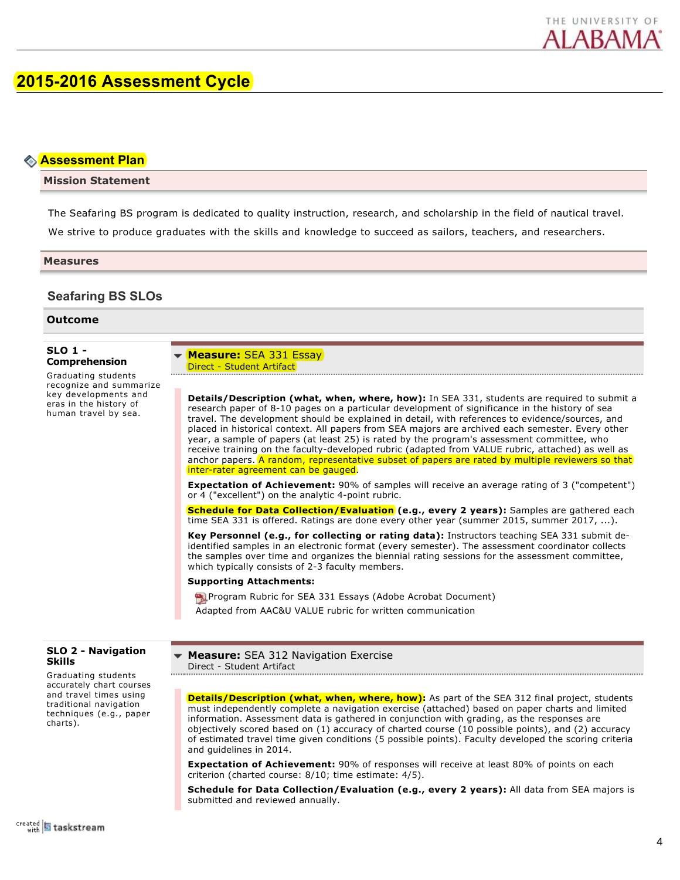

# **2015-2016 Assessment Cycle**

# **Assessment Plan**

# **Mission Statement**

The Seafaring BS program is dedicated to quality instruction, research, and scholarship in the field of nautical travel. We strive to produce graduates with the skills and knowledge to succeed as sailors, teachers, and researchers.

### **Measures**

# **Seafaring BS SLOs**

**Outcome**

## **SLO 1 Comprehension**

Graduating students recognize and summarize key developments and eras in the history of human travel by sea.

**Measure:** SEA 331 Essay Direct - Student Artifact

**Details/Description (what, when, where, how):** In SEA 331, students are required to submit a research paper of 8-10 pages on a particular development of significance in the history of sea travel. The development should be explained in detail, with references to evidence/sources, and placed in historical context. All papers from SEA majors are archived each semester. Every other year, a sample of papers (at least 25) is rated by the program's assessment committee, who receive training on the faculty-developed rubric (adapted from VALUE rubric, attached) as well as anchor papers. A random, representative subset of papers are rated by multiple reviewers so that inter-rater agreement can be gauged.

**Expectation of Achievement:** 90% of samples will receive an average rating of 3 ("competent") or  $4$  ("excellent") on the analytic 4-point rubric.

**Schedule for Data Collection/Evaluation (e.g., every 2 years):** Samples are gathered each time SEA 331 is offered. Ratings are done every other year (summer 2015, summer 2017, ...).

**Key Personnel (e.g., for collecting or rating data):** Instructors teaching SEA 331 submit deidentified samples in an electronic format (every semester). The assessment coordinator collects the samples over time and organizes the biennial rating sessions for the assessment committee, which typically consists of 2-3 faculty members.

#### **Supporting Attachments:**

**Paraged Program Rubric for SEA 331 Essays (Adobe Acrobat Document)** Adapted from AAC&U VALUE rubric for written communication

## **SLO 2 Navigation Skills**

Graduating students accurately chart courses and travel times using traditional navigation techniques (e.g., paper charts).

**Measure:** SEA 312 Navigation Exercise Direct - Student Artifact 

**Details/Description (what, when, where, how):** As part of the SEA 312 final project, students must independently complete a navigation exercise (attached) based on paper charts and limited information. Assessment data is gathered in conjunction with grading, as the responses are objectively scored based on (1) accuracy of charted course (10 possible points), and (2) accuracy of estimated travel time given conditions (5 possible points). Faculty developed the scoring criteria and guidelines in 2014.

**Expectation of Achievement:** 90% of responses will receive at least 80% of points on each criterion (charted course: 8/10; time estimate: 4/5).

**Schedule for Data Collection/Evaluation (e.g., every 2 years):** All data from SEA majors is submitted and reviewed annually.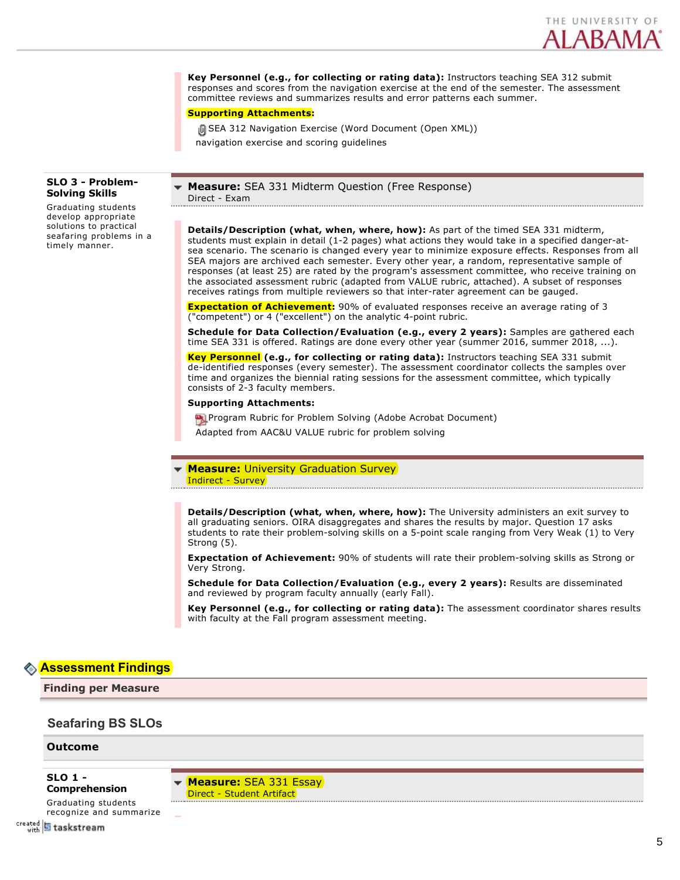

**Key Personnel (e.g., for collecting or rating data):** Instructors teaching SEA 312 submit responses and scores from the navigation exercise at the end of the semester. The assessment committee reviews and summarizes results and error patterns each summer.

## **Supporting Attachments:**

**[i] SEA 312 Navigation Exercise (Word Document (Open XML))** navigation exercise and scoring guidelines

## **SLO 3 Problem-Solving Skills**

Graduating students develop appropriate solutions to practical seafaring problems in a timely manner.

**Measure:** SEA 331 Midterm Question (Free Response) Direct - Exam 

**Details/Description (what, when, where, how):** As part of the timed SEA 331 midterm, students must explain in detail (1-2 pages) what actions they would take in a specified danger-atsea scenario. The scenario is changed every year to minimize exposure effects. Responses from all SEA majors are archived each semester. Every other year, a random, representative sample of responses (at least 25) are rated by the program's assessment committee, who receive training on the associated assessment rubric (adapted from VALUE rubric, attached). A subset of responses receives ratings from multiple reviewers so that inter-rater agreement can be gauged.

**Expectation of Achievement:** 90% of evaluated responses receive an average rating of 3 ("competent") or 4 ("excellent") on the analytic 4-point rubric.

**Schedule for Data Collection/Evaluation (e.g., every 2 years):** Samples are gathered each time SEA 331 is offered. Ratings are done every other year (summer 2016, summer 2018, ...).

**Key Personnel (e.g., for collecting or rating data):** Instructors teaching SEA 331 submit de-identified responses (every semester). The assessment coordinator collects the samples over time and organizes the biennial rating sessions for the assessment committee, which typically consists of 2-3 faculty members.

## **Supporting Attachments:**

**Party Program Rubric for Problem Solving (Adobe Acrobat Document)** 

Adapted from AAC&U VALUE rubric for problem solving

### **Measure: University Graduation Survey** Indirect - Survey

**Details/Description (what, when, where, how):** The University administers an exit survey to all graduating seniors. OIRA disaggregates and shares the results by major. Question 17 asks students to rate their problem-solving skills on a 5-point scale ranging from Very Weak (1) to Very Strong (5).

**Expectation of Achievement:** 90% of students will rate their problem-solving skills as Strong or Very Strong.

**Schedule for Data Collection/Evaluation (e.g., every 2 years):** Results are disseminated and reviewed by program faculty annually (early Fall).

**Key Personnel (e.g., for collecting or rating data):** The assessment coordinator shares results with faculty at the Fall program assessment meeting.

# **Assessment Findings**

**Finding per Measure**

# **Seafaring BS SLOs**

#### **Outcome**

**SLO 1 Comprehension**

**Measure:** SEA 331 Essay Direct - Student Artifact

Graduating students recognize and summarize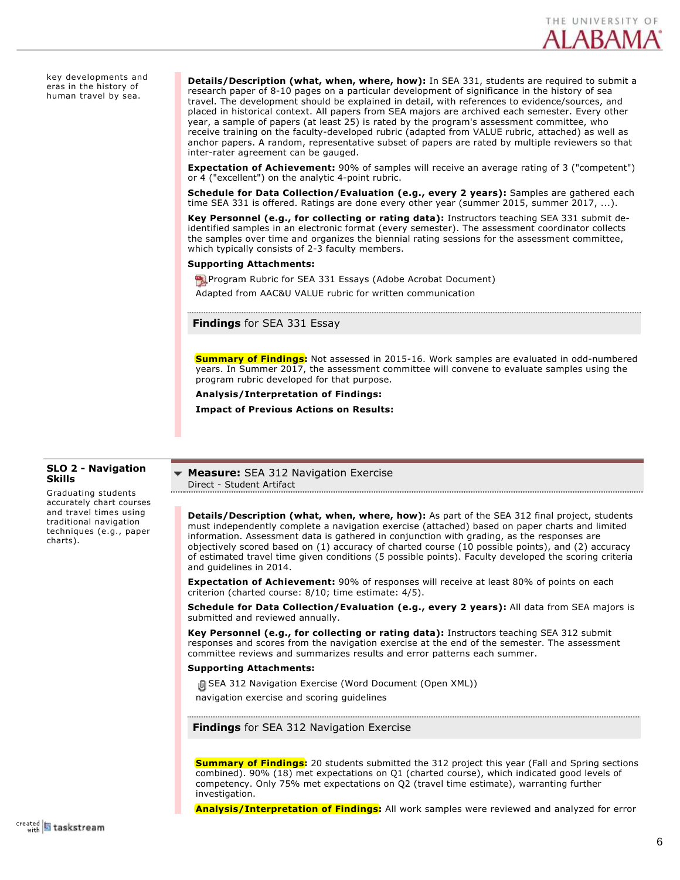

key developments and eras in the history of human travel by sea.

**Details/Description (what, when, where, how):** In SEA 331, students are required to submit a research paper of 810 pages on a particular development of significance in the history of sea travel. The development should be explained in detail, with references to evidence/sources, and placed in historical context. All papers from SEA majors are archived each semester. Every other year, a sample of papers (at least 25) is rated by the program's assessment committee, who receive training on the faculty-developed rubric (adapted from VALUE rubric, attached) as well as anchor papers. A random, representative subset of papers are rated by multiple reviewers so that inter-rater agreement can be gauged.

**Expectation of Achievement:** 90% of samples will receive an average rating of 3 ("competent") or 4 ("excellent") on the analytic 4-point rubric.

**Schedule for Data Collection/Evaluation (e.g., every 2 years):** Samples are gathered each time SEA 331 is offered. Ratings are done every other year (summer 2015, summer 2017, ...).

**Key Personnel (e.g., for collecting or rating data):** Instructors teaching SEA 331 submit deidentified samples in an electronic format (every semester). The assessment coordinator collects the samples over time and organizes the biennial rating sessions for the assessment committee, which typically consists of 2-3 faculty members.

#### **Supporting Attachments:**

Program Rubric for SEA 331 Essays (Adobe Acrobat Document) Adapted from AAC&U VALUE rubric for written communication

**Findings** for SEA 331 Essay

**Summary of Findings:** Not assessed in 2015-16. Work samples are evaluated in odd-numbered years. In Summer 2017, the assessment committee will convene to evaluate samples using the program rubric developed for that purpose.

**Analysis/Interpretation of Findings:**

**Impact of Previous Actions on Results:**

# **SLO 2 Navigation Skills**

Graduating students accurately chart courses and travel times using traditional navigation techniques (e.g., paper charts).

**Measure:** SEA 312 Navigation Exercise Direct - Student Artifact

**Details/Description (what, when, where, how):** As part of the SEA 312 final project, students must independently complete a navigation exercise (attached) based on paper charts and limited information. Assessment data is gathered in conjunction with grading, as the responses are objectively scored based on (1) accuracy of charted course (10 possible points), and (2) accuracy of estimated travel time given conditions (5 possible points). Faculty developed the scoring criteria and guidelines in 2014.

**Expectation of Achievement:** 90% of responses will receive at least 80% of points on each criterion (charted course: 8/10; time estimate: 4/5).

**Schedule for Data Collection/Evaluation (e.g., every 2 years):** All data from SEA majors is submitted and reviewed annually.

**Key Personnel (e.g., for collecting or rating data):** Instructors teaching SEA 312 submit responses and scores from the navigation exercise at the end of the semester. The assessment committee reviews and summarizes results and error patterns each summer.

#### **Supporting Attachments:**

**J** SEA 312 Navigation Exercise (Word Document (Open XML))

navigation exercise and scoring guidelines

**Findings** for SEA 312 Navigation Exercise

**Summary of Findings:** 20 students submitted the 312 project this year (Fall and Spring sections combined). 90% (18) met expectations on Q1 (charted course), which indicated good levels of competency. Only 75% met expectations on Q2 (travel time estimate), warranting further investigation.

**Analysis/Interpretation of Findings:** All work samples were reviewed and analyzed for error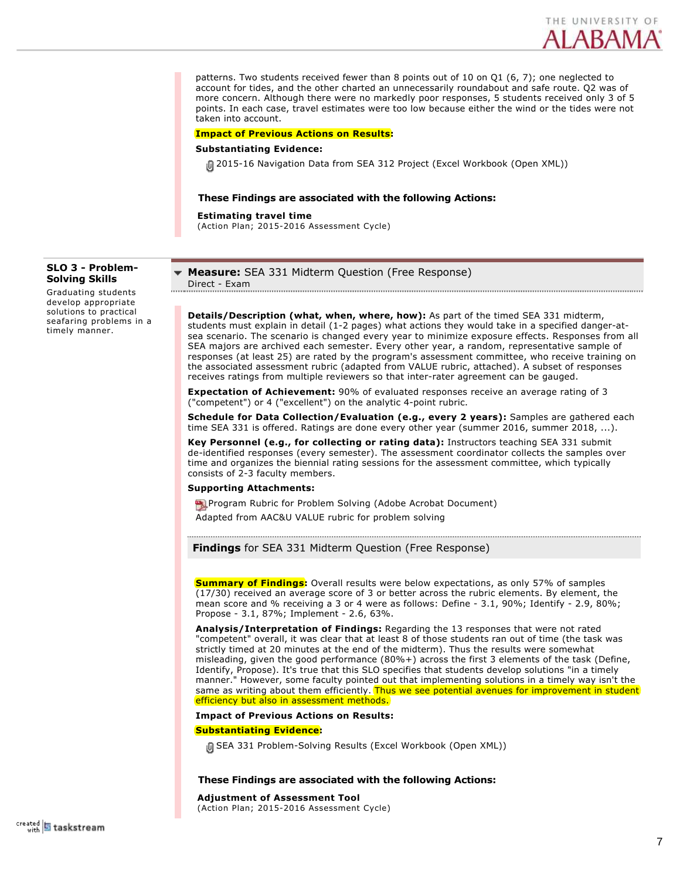

patterns. Two students received fewer than 8 points out of 10 on Q1 (6, 7); one neglected to account for tides, and the other charted an unnecessarily roundabout and safe route. Q2 was of more concern. Although there were no markedly poor responses, 5 students received only 3 of 5 points. In each case, travel estimates were too low because either the wind or the tides were not taken into account.

#### **Impact of Previous Actions on Results:**

#### **Substantiating Evidence:**

201516 Navigation Data from SEA 312 Project (Excel Workbook (Open XML))

## **These Findings are associated with the following Actions:**

**Estimating travel time**

(Action Plan; 2015-2016 Assessment Cycle)

# **SLO 3 Problem-Solving Skills**

Graduating students develop appropriate solutions to practical seafaring problems in a timely manner.

#### **Measure:** SEA 331 Midterm Question (Free Response) Direct - Exam

**Details/Description (what, when, where, how):** As part of the timed SEA 331 midterm, students must explain in detail (1-2 pages) what actions they would take in a specified danger-atsea scenario. The scenario is changed every year to minimize exposure effects. Responses from all SEA majors are archived each semester. Every other year, a random, representative sample of responses (at least 25) are rated by the program's assessment committee, who receive training on the associated assessment rubric (adapted from VALUE rubric, attached). A subset of responses receives ratings from multiple reviewers so that inter-rater agreement can be gauged.

**Expectation of Achievement:** 90% of evaluated responses receive an average rating of 3 ("competent") or 4 ("excellent") on the analytic 4-point rubric.

**Schedule for Data Collection/Evaluation (e.g., every 2 years):** Samples are gathered each time SEA 331 is offered. Ratings are done every other year (summer 2016, summer 2018, ...).

**Key Personnel (e.g., for collecting or rating data):** Instructors teaching SEA 331 submit de-identified responses (every semester). The assessment coordinator collects the samples over time and organizes the biennial rating sessions for the assessment committee, which typically consists of 2-3 faculty members.

#### **Supporting Attachments:**

**PR** Program Rubric for Problem Solving (Adobe Acrobat Document) Adapted from AAC&U VALUE rubric for problem solving

**Findings** for SEA 331 Midterm Question (Free Response)

**Summary of Findings:** Overall results were below expectations, as only 57% of samples (17/30) received an average score of 3 or better across the rubric elements. By element, the mean score and % receiving a 3 or 4 were as follows: Define - 3.1, 90%; Identify - 2.9, 80%; Propose - 3.1, 87%; Implement - 2.6, 63%.

**Analysis/Interpretation of Findings:** Regarding the 13 responses that were not rated "competent" overall, it was clear that at least 8 of those students ran out of time (the task was strictly timed at 20 minutes at the end of the midterm). Thus the results were somewhat misleading, given the good performance (80%+) across the first 3 elements of the task (Define, Identify, Propose). It's true that this SLO specifies that students develop solutions "in a timely manner." However, some faculty pointed out that implementing solutions in a timely way isn't the same as writing about them efficiently. Thus we see potential avenues for improvement in student efficiency but also in assessment methods.

**Impact of Previous Actions on Results:**

### **Substantiating Evidence:**

<sup>1</sup> SEA 331 Problem-Solving Results (Excel Workbook (Open XML))

#### **These Findings are associated with the following Actions:**

**Adjustment of Assessment Tool** (Action Plan; 2015-2016 Assessment Cycle)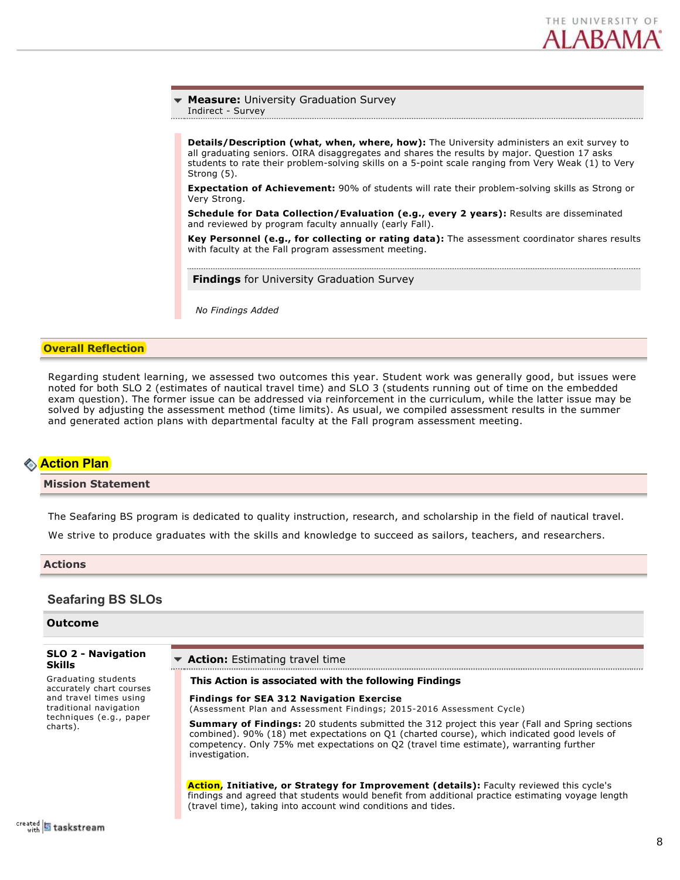

# **Measure:** University Graduation Survey

Indirect - Survey

**Details/Description (what, when, where, how):** The University administers an exit survey to all graduating seniors. OIRA disaggregates and shares the results by major. Question 17 asks students to rate their problem-solving skills on a 5-point scale ranging from Very Weak (1) to Very Strong (5).

**Expectation of Achievement:** 90% of students will rate their problemsolving skills as Strong or Very Strong.

**Schedule for Data Collection/Evaluation (e.g., every 2 years):** Results are disseminated and reviewed by program faculty annually (early Fall).

**Key Personnel (e.g., for collecting or rating data):** The assessment coordinator shares results with faculty at the Fall program assessment meeting.

**Findings** for University Graduation Survey

*No Findings Added*

## **Overall Reflection**

Regarding student learning, we assessed two outcomes this year. Student work was generally good, but issues were noted for both SLO 2 (estimates of nautical travel time) and SLO 3 (students running out of time on the embedded exam question). The former issue can be addressed via reinforcement in the curriculum, while the latter issue may be solved by adjusting the assessment method (time limits). As usual, we compiled assessment results in the summer and generated action plans with departmental faculty at the Fall program assessment meeting.

# **Action Plan**

# **Mission Statement**

The Seafaring BS program is dedicated to quality instruction, research, and scholarship in the field of nautical travel.

We strive to produce graduates with the skills and knowledge to succeed as sailors, teachers, and researchers.

#### **Actions**

# **Seafaring BS SLOs**

# **Outcome**

#### **SLO 2 Navigation Skills** Graduating students accurately chart courses and travel times using traditional navigation techniques (e.g., paper charts). **Action:** Estimating travel time **This Action is associated with the following Findings Findings for SEA 312 Navigation Exercise** (Assessment Plan and Assessment Findings; 2015-2016 Assessment Cycle) **Summary of Findings:** 20 students submitted the 312 project this year (Fall and Spring sections combined). 90% (18) met expectations on Q1 (charted course), which indicated good levels of competency. Only 75% met expectations on Q2 (travel time estimate), warranting further investigation. **Action, Initiative, or Strategy for Improvement (details):** Faculty reviewed this cycle's findings and agreed that students would benefit from additional practice estimating voyage length (travel time), taking into account wind conditions and tides.